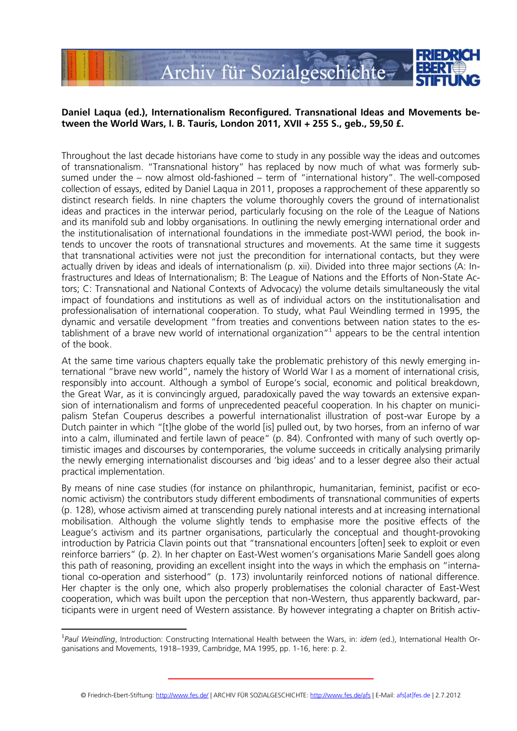

## **Daniel Laqua (ed.), Internationalism Reconfigured. Transnational Ideas and Movements between the World Wars, I. B. Tauris, London 2011, XVII + 255 S., geb., 59,50 £.**

Throughout the last decade historians have come to study in any possible way the ideas and outcomes of transnationalism. 'Transnational history' has replaced by now much of what was formerly subsumed under the – now almost old-fashioned – term of 'international history'. The well-composed collection of essays, edited by Daniel Laqua in 2011, proposes a rapprochement of these apparently so distinct research fields. In nine chapters the volume thoroughly covers the ground of internationalist ideas and practices in the interwar period, particularly focusing on the role of the League of Nations and its manifold sub and lobby organisations. In outlining the newly emerging international order and the institutionalisation of international foundations in the immediate post-WWI period, the book intends to uncover the roots of transnational structures and movements. At the same time it suggests that transnational activities were not just the precondition for international contacts, but they were actually driven by ideas and ideals of internationalism (p. xii). Divided into three major sections (A: Infrastructures and Ideas of Internationalism; B: The League of Nations and the Efforts of Non-State Actors; C: Transnational and National Contexts of Advocacy) the volume details simultaneously the vital impact of foundations and institutions as well as of individual actors on the institutionalisation and professionalisation of international cooperation. To study, what Paul Weindling termed in 1995, the dynamic and versatile development 'from treaties and conventions between nation states to the es $t$ ablishment of a brave new world of international organization" $<sup>1</sup>$  appears to be the central intention</sup> of the book.

At the same time various chapters equally take the problematic prehistory of this newly emerging international 'brave new world', namely the history of World War I as a moment of international crisis, responsibly into account. Although a symbol of Europe's social, economic and political breakdown, the Great War, as it is convincingly argued, paradoxically paved the way towards an extensive expansion of internationalism and forms of unprecedented peaceful cooperation. In his chapter on municipalism Stefan Couperus describes a powerful internationalist illustration of post-war Europe by a Dutch painter in which '[t]he globe of the world [is] pulled out, by two horses, from an inferno of war into a calm, illuminated and fertile lawn of peace' (p. 84). Confronted with many of such overtly optimistic images and discourses by contemporaries, the volume succeeds in critically analysing primarily the newly emerging internationalist discourses and 'big ideas' and to a lesser degree also their actual practical implementation.

By means of nine case studies (for instance on philanthropic, humanitarian, feminist, pacifist or economic activism) the contributors study different embodiments of transnational communities of experts (p. 128), whose activism aimed at transcending purely national interests and at increasing international mobilisation. Although the volume slightly tends to emphasise more the positive effects of the League's activism and its partner organisations, particularly the conceptual and thought-provoking introduction by Patricia Clavin points out that 'transnational encounters [often] seek to exploit or even reinforce barriers' (p. 2). In her chapter on East-West women's organisations Marie Sandell goes along this path of reasoning, providing an excellent insight into the ways in which the emphasis on 'international co-operation and sisterhood' (p. 173) involuntarily reinforced notions of national difference. Her chapter is the only one, which also properly problematises the colonial character of East-West cooperation, which was built upon the perception that non-Western, thus apparently backward, participants were in urgent need of Western assistance. By however integrating a chapter on British activ-

 $\overline{a}$ 

<sup>1</sup> *Paul Weindling*, Introduction: Constructing International Health between the Wars, in: *idem* (ed.), International Health Organisations and Movements, 1918–1939, Cambridge, MA 1995, pp. 1-16, here: p. 2.